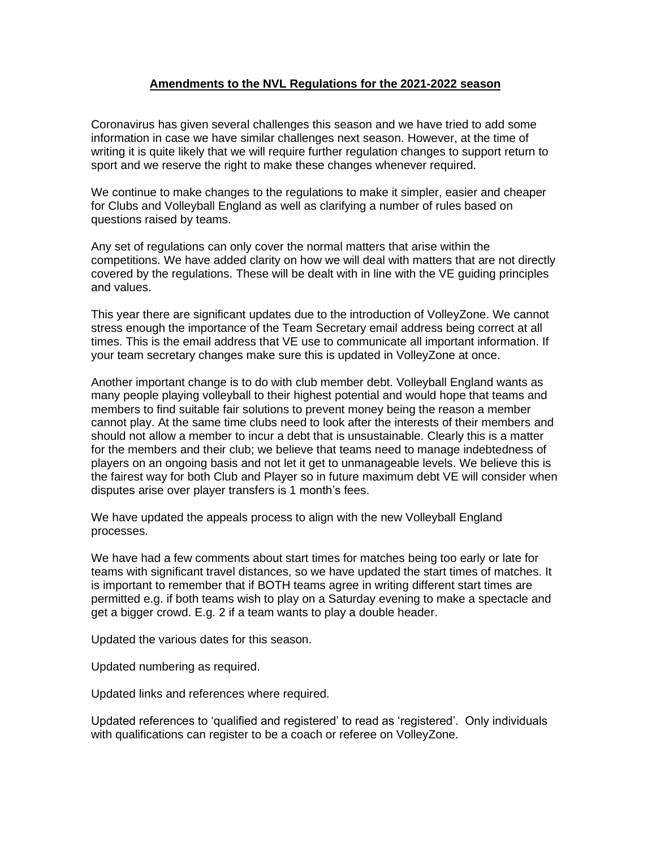# **Amendments to the NVL Regulations for the 2021-2022 season**

Coronavirus has given several challenges this season and we have tried to add some information in case we have similar challenges next season. However, at the time of writing it is quite likely that we will require further regulation changes to support return to sport and we reserve the right to make these changes whenever required.

We continue to make changes to the regulations to make it simpler, easier and cheaper for Clubs and Volleyball England as well as clarifying a number of rules based on questions raised by teams.

Any set of regulations can only cover the normal matters that arise within the competitions. We have added clarity on how we will deal with matters that are not directly covered by the regulations. These will be dealt with in line with the VE guiding principles and values.

This year there are significant updates due to the introduction of VolleyZone. We cannot stress enough the importance of the Team Secretary email address being correct at all times. This is the email address that VE use to communicate all important information. If your team secretary changes make sure this is updated in VolleyZone at once.

Another important change is to do with club member debt. Volleyball England wants as many people playing volleyball to their highest potential and would hope that teams and members to find suitable fair solutions to prevent money being the reason a member cannot play. At the same time clubs need to look after the interests of their members and should not allow a member to incur a debt that is unsustainable. Clearly this is a matter for the members and their club; we believe that teams need to manage indebtedness of players on an ongoing basis and not let it get to unmanageable levels. We believe this is the fairest way for both Club and Player so in future maximum debt VE will consider when disputes arise over player transfers is 1 month's fees.

We have updated the appeals process to align with the new Volleyball England processes.

We have had a few comments about start times for matches being too early or late for teams with significant travel distances, so we have updated the start times of matches. It is important to remember that if BOTH teams agree in writing different start times are permitted e.g. if both teams wish to play on a Saturday evening to make a spectacle and get a bigger crowd. E.g. 2 if a team wants to play a double header.

Updated the various dates for this season.

Updated numbering as required.

Updated links and references where required.

Updated references to 'qualified and registered' to read as 'registered'. Only individuals with qualifications can register to be a coach or referee on VolleyZone.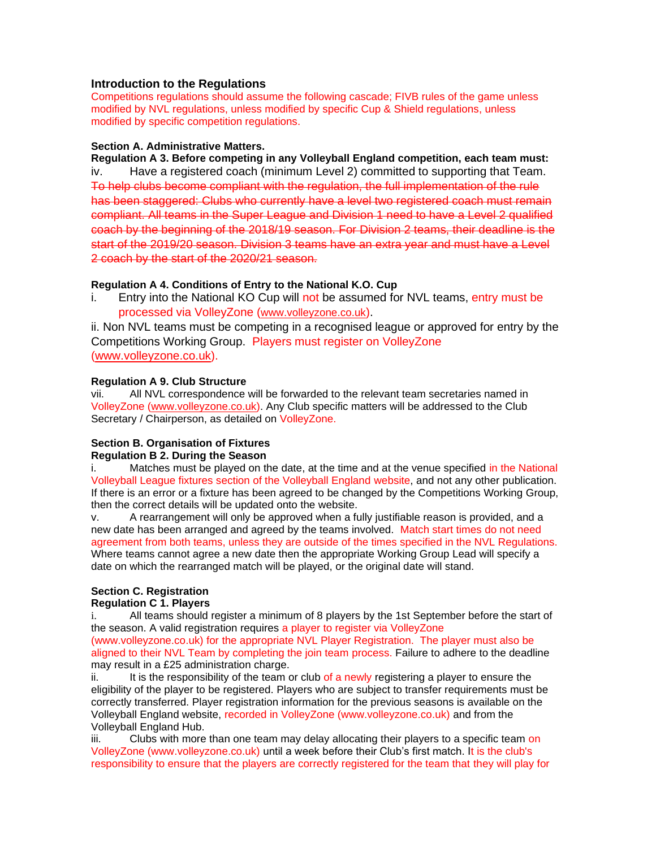# **Introduction to the Regulations**

Competitions regulations should assume the following cascade; FIVB rules of the game unless modified by NVL regulations, unless modified by specific Cup & Shield regulations, unless modified by specific competition regulations.

#### **Section A. Administrative Matters.**

**Regulation A 3. Before competing in any Volleyball England competition, each team must:** iv. Have a registered coach (minimum Level 2) committed to supporting that Team. To help clubs become compliant with the regulation, the full implementation of the rule has been staggered: Clubs who currently have a level two registered coach must remain compliant. All teams in the Super League and Division 1 need to have a Level 2 qualified coach by the beginning of the 2018/19 season. For Division 2 teams, their deadline is the start of the 2019/20 season. Division 3 teams have an extra year and must have a Level 2 coach by the start of the 2020/21 season.

# **Regulation A 4. Conditions of Entry to the National K.O. Cup**

i. Entry into the National KO Cup will not be assumed for NVL teams, entry must be processed via VolleyZone ([www.volleyzone.co.uk](http://www.volleyzone.co.uk/)).

ii. Non NVL teams must be competing in a recognised league or approved for entry by the Competitions Working Group. Players must register on VolleyZone [\(www.volleyzone.co.uk\)](http://www.volleyzone.co.uk/).

# **Regulation A 9. Club Structure**

vii. All NVL correspondence will be forwarded to the relevant team secretaries named in VolleyZone [\(www.volleyzone.co.uk\)](http://www.volleyzone.co.uk/). Any Club specific matters will be addressed to the Club Secretary / Chairperson, as detailed on VolleyZone.

# **Section B. Organisation of Fixtures**

#### **Regulation B 2. During the Season**

i. Matches must be played on the date, at the time and at the venue specified in the National Volleyball League fixtures section of the Volleyball England website, and not any other publication. If there is an error or a fixture has been agreed to be changed by the Competitions Working Group, then the correct details will be updated onto the website.

v. A rearrangement will only be approved when a fully justifiable reason is provided, and a new date has been arranged and agreed by the teams involved. Match start times do not need agreement from both teams, unless they are outside of the times specified in the NVL Regulations. Where teams cannot agree a new date then the appropriate Working Group Lead will specify a date on which the rearranged match will be played, or the original date will stand.

# **Section C. Registration**

# **Regulation C 1. Players**

i. All teams should register a minimum of 8 players by the 1st September before the start of the season. A valid registration requires a player to register via VolleyZone

(www.volleyzone.co.uk) for the appropriate NVL Player Registration. The player must also be aligned to their NVL Team by completing the join team process. Failure to adhere to the deadline may result in a £25 administration charge.

ii. It is the responsibility of the team or club of a newly registering a player to ensure the eligibility of the player to be registered. Players who are subject to transfer requirements must be correctly transferred. Player registration information for the previous seasons is available on the Volleyball England website, recorded in VolleyZone (www.volleyzone.co.uk) and from the Volleyball England Hub.

iii. Clubs with more than one team may delay allocating their players to a specific team on VolleyZone (www.volleyzone.co.uk) until a week before their Club's first match. It is the club's responsibility to ensure that the players are correctly registered for the team that they will play for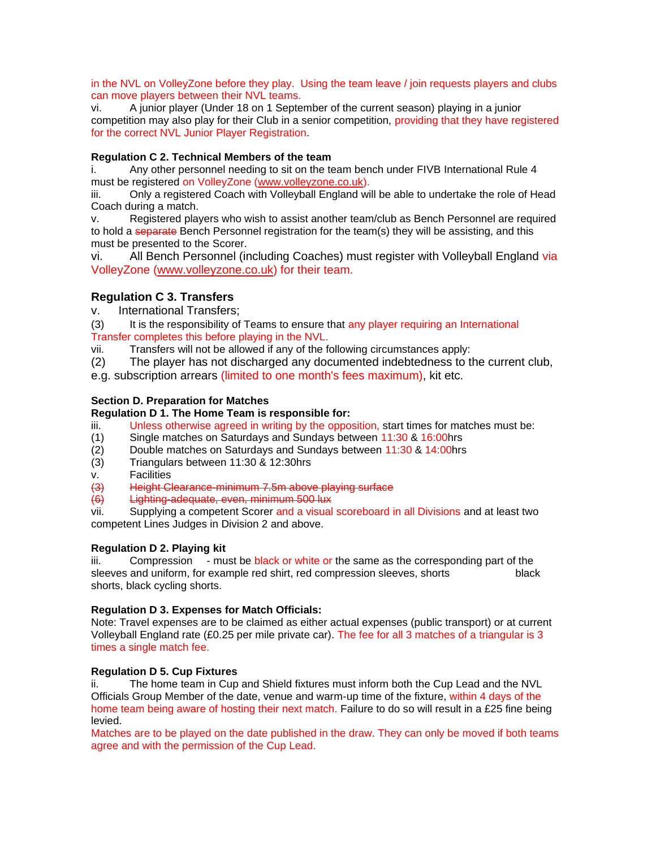in the NVL on VolleyZone before they play. Using the team leave / join requests players and clubs can move players between their NVL teams.

vi. A junior player (Under 18 on 1 September of the current season) playing in a junior competition may also play for their Club in a senior competition, providing that they have registered for the correct NVL Junior Player Registration.

# **Regulation C 2. Technical Members of the team**

i. Any other personnel needing to sit on the team bench under FIVB International Rule 4 must be registered on VolleyZone [\(www.volleyzone.co.uk\)](http://www.volleyzone.co.uk/).

iii. Only a registered Coach with Volleyball England will be able to undertake the role of Head Coach during a match.

v. Registered players who wish to assist another team/club as Bench Personnel are required to hold a separate Bench Personnel registration for the team(s) they will be assisting, and this must be presented to the Scorer.

vi. All Bench Personnel (including Coaches) must register with Volleyball England via VolleyZone [\(www.volleyzone.co.uk\)](http://www.volleyzone.co.uk/) for their team.

# **Regulation C 3. Transfers**

v. International Transfers;

(3) It is the responsibility of Teams to ensure that any player requiring an International Transfer completes this before playing in the NVL.

vii. Transfers will not be allowed if any of the following circumstances apply:

(2) The player has not discharged any documented indebtedness to the current club,

e.g. subscription arrears (limited to one month's fees maximum), kit etc.

# **Section D. Preparation for Matches**

#### **Regulation D 1. The Home Team is responsible for:**

- iii. Unless otherwise agreed in writing by the opposition, start times for matches must be:
- (1) Single matches on Saturdays and Sundays between 11:30 & 16:00hrs
- (2) Double matches on Saturdays and Sundays between 11:30 & 14:00hrs
- (3) Triangulars between 11:30 & 12:30hrs
- v. Facilities

(3) Height Clearance-minimum 7.5m above playing surface

 $\overrightarrow{6}$  Lighting-adequate, even, minimum 500 lux

vii. Supplying a competent Scorer and a visual scoreboard in all Divisions and at least two competent Lines Judges in Division 2 and above.

#### **Regulation D 2. Playing kit**

iii. Compression - must be black or white or the same as the corresponding part of the sleeves and uniform, for example red shirt, red compression sleeves, shorts black shorts, black cycling shorts.

# **Regulation D 3. Expenses for Match Officials:**

Note: Travel expenses are to be claimed as either actual expenses (public transport) or at current Volleyball England rate (£0.25 per mile private car). The fee for all 3 matches of a triangular is 3 times a single match fee.

#### **Regulation D 5. Cup Fixtures**

ii. The home team in Cup and Shield fixtures must inform both the Cup Lead and the NVL Officials Group Member of the date, venue and warm-up time of the fixture, within 4 days of the home team being aware of hosting their next match. Failure to do so will result in a £25 fine being levied.

Matches are to be played on the date published in the draw. They can only be moved if both teams agree and with the permission of the Cup Lead.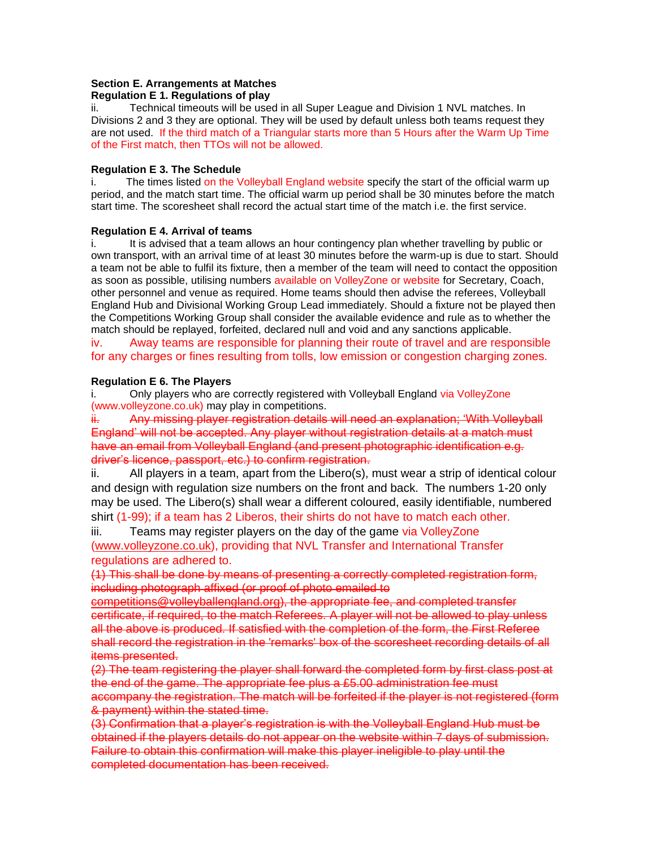#### **Section E. Arrangements at Matches**

#### **Regulation E 1. Regulations of play**

ii. Technical timeouts will be used in all Super League and Division 1 NVL matches. In Divisions 2 and 3 they are optional. They will be used by default unless both teams request they are not used. If the third match of a Triangular starts more than 5 Hours after the Warm Up Time of the First match, then TTOs will not be allowed.

#### **Regulation E 3. The Schedule**

i. The times listed on the Volleyball England website specify the start of the official warm up period, and the match start time. The official warm up period shall be 30 minutes before the match start time. The scoresheet shall record the actual start time of the match i.e. the first service.

#### **Regulation E 4. Arrival of teams**

i. It is advised that a team allows an hour contingency plan whether travelling by public or own transport, with an arrival time of at least 30 minutes before the warm-up is due to start. Should a team not be able to fulfil its fixture, then a member of the team will need to contact the opposition as soon as possible, utilising numbers available on VolleyZone or website for Secretary, Coach, other personnel and venue as required. Home teams should then advise the referees, Volleyball England Hub and Divisional Working Group Lead immediately. Should a fixture not be played then the Competitions Working Group shall consider the available evidence and rule as to whether the match should be replayed, forfeited, declared null and void and any sanctions applicable.

iv. Away teams are responsible for planning their route of travel and are responsible for any charges or fines resulting from tolls, low emission or congestion charging zones.

#### **Regulation E 6. The Players**

i. Only players who are correctly registered with Volleyball England via VolleyZone (www.volleyzone.co.uk) may play in competitions.

ii. Any missing player registration details will need an explanation: 'With Vollevball England' will not be accepted. Any player without registration details at a match must have an email from Volleyball England (and present photographic identification e.g. driver's licence, passport, etc.) to confirm registration.

ii. All players in a team, apart from the Libero(s), must wear a strip of identical colour and design with regulation size numbers on the front and back. The numbers 1-20 only may be used. The Libero(s) shall wear a different coloured, easily identifiable, numbered shirt (1-99); if a team has 2 Liberos, their shirts do not have to match each other.

iii. Teams may register players on the day of the game via VolleyZone [\(www.volleyzone.co.uk\)](http://www.volleyzone.co.uk/), providing that NVL Transfer and International Transfer regulations are adhered to.

(1) This shall be done by means of presenting a correctly completed registration form, including photograph affixed (or proof of photo emailed to

[competitions@volleyballengland.org\)](mailto:competitions@volleyballengland.org), the appropriate fee, and completed transfer certificate, if required, to the match Referees. A player will not be allowed to play unless all the above is produced. If satisfied with the completion of the form, the First Referee shall record the registration in the 'remarks' box of the scoresheet recording details of all items presented.

(2) The team registering the player shall forward the completed form by first class post at the end of the game. The appropriate fee plus a £5.00 administration fee must accompany the registration. The match will be forfeited if the player is not registered (form & payment) within the stated time.

(3) Confirmation that a player's registration is with the Volleyball England Hub must be obtained if the players details do not appear on the website within 7 days of submission. Failure to obtain this confirmation will make this player ineligible to play until the completed documentation has been received.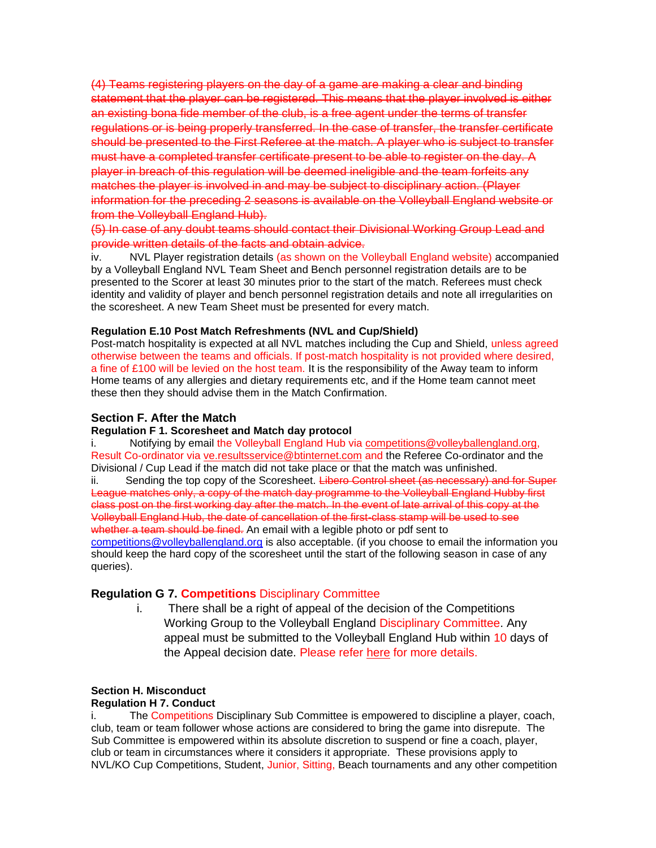(4) Teams registering players on the day of a game are making a clear and binding statement that the player can be registered. This means that the player involved is either an existing bona fide member of the club, is a free agent under the terms of transfer regulations or is being properly transferred. In the case of transfer, the transfer certificate should be presented to the First Referee at the match. A player who is subject to transfer must have a completed transfer certificate present to be able to register on the day. A player in breach of this regulation will be deemed ineligible and the team forfeits any matches the player is involved in and may be subject to disciplinary action. (Player information for the preceding 2 seasons is available on the Volleyball England website or from the Volleyball England Hub).

(5) In case of any doubt teams should contact their Divisional Working Group Lead and provide written details of the facts and obtain advice.

iv. NVL Player registration details (as shown on the Volleyball England website) accompanied by a Volleyball England NVL Team Sheet and Bench personnel registration details are to be presented to the Scorer at least 30 minutes prior to the start of the match. Referees must check identity and validity of player and bench personnel registration details and note all irregularities on the scoresheet. A new Team Sheet must be presented for every match.

#### **Regulation E.10 Post Match Refreshments (NVL and Cup/Shield)**

Post-match hospitality is expected at all NVL matches including the Cup and Shield, unless agreed otherwise between the teams and officials. If post-match hospitality is not provided where desired, a fine of £100 will be levied on the host team. It is the responsibility of the Away team to inform Home teams of any allergies and dietary requirements etc, and if the Home team cannot meet these then they should advise them in the Match Confirmation.

# **Section F. After the Match**

#### **Regulation F 1. Scoresheet and Match day protocol**

Notifying by email the Volleyball England Hub via [competitions@volleyballengland.org,](mailto:competitions@volleyballengland.org) Result Co-ordinator via [ve.resultsservice@btinternet.com](mailto:ve.resultsservice@btinternet.com) and the Referee Co-ordinator and the Divisional / Cup Lead if the match did not take place or that the match was unfinished.

ii. Sending the top copy of the Scoresheet. Libero Control sheet (as necessary) and for Super League matches only, a copy of the match day programme to the Volleyball England Hubby first class post on the first working day after the match. In the event of late arrival of this copy at the Volleyball England Hub, the date of cancellation of the first-class stamp will be used to see whether a team should be fined. An email with a legible photo or pdf sent to [competitions@volleyballengland.org](mailto:competitions@volleyballengland.org) is also acceptable. (if you choose to email the information you should keep the hard copy of the scoresheet until the start of the following season in case of any queries).

### **Regulation G 7. Competitions** Disciplinary Committee

i. There shall be a right of appeal of the decision of the Competitions Working Group to the Volleyball England Disciplinary Committee. Any appeal must be submitted to the Volleyball England Hub within 10 days of the Appeal decision date. Please refer [here](https://www.volleyballengland.org/~media/docs/Grievance%20and%20Disciplinary%20Policy.pdf) for more details.

## **Section H. Misconduct**

#### **Regulation H 7. Conduct**

i. The Competitions Disciplinary Sub Committee is empowered to discipline a player, coach, club, team or team follower whose actions are considered to bring the game into disrepute. The Sub Committee is empowered within its absolute discretion to suspend or fine a coach, player, club or team in circumstances where it considers it appropriate. These provisions apply to NVL/KO Cup Competitions, Student, Junior, Sitting, Beach tournaments and any other competition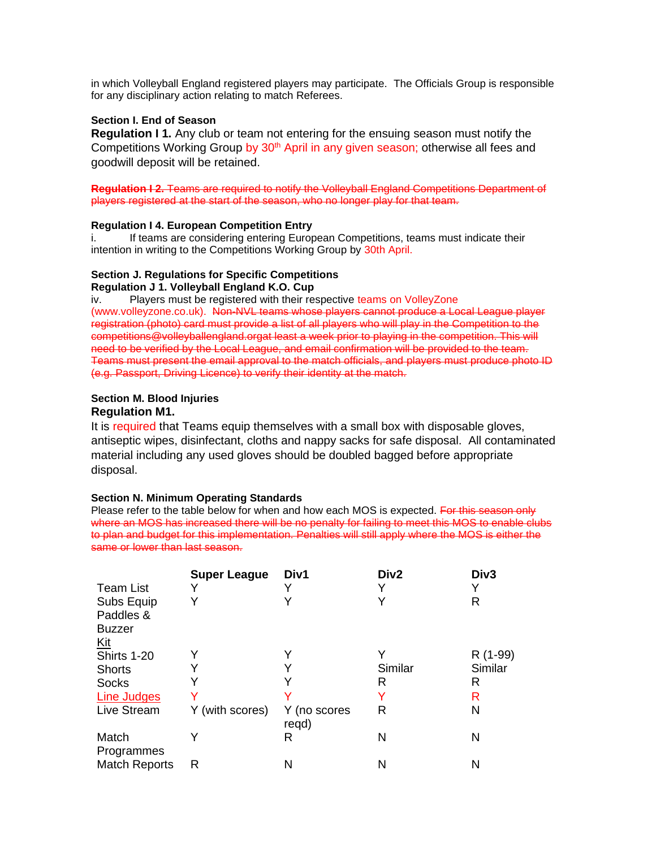in which Volleyball England registered players may participate. The Officials Group is responsible for any disciplinary action relating to match Referees.

# **Section I. End of Season**

**Regulation I 1.** Any club or team not entering for the ensuing season must notify the Competitions Working Group by  $30<sup>th</sup>$  April in any given season; otherwise all fees and goodwill deposit will be retained.

# **Regulation I 2.** Teams are required to notify the Volleyball England Competitions Department of players registered at the start of the season, who no longer play for that team.

# **Regulation I 4. European Competition Entry**

i. If teams are considering entering European Competitions, teams must indicate their intention in writing to the Competitions Working Group by 30th April.

# **Section J. Regulations for Specific Competitions Regulation J 1. Volleyball England K.O. Cup**

iv. Players must be registered with their respective teams on VolleyZone (www.volleyzone.co.uk). Non-NVL teams whose players cannot produce a Local League player registration (photo) card must provide a list of all players who will play in the Competition to the competitions@volleyballengland.orgat least a week prior to playing in the competition. This will need to be verified by the Local League, and email confirmation will be provided to the team. Teams must present the email approval to the match officials, and players must produce photo ID (e.g. Passport, Driving Licence) to verify their identity at the match.

### **Section M. Blood Injuries Regulation M1.**

It is required that Teams equip themselves with a small box with disposable gloves, antiseptic wipes, disinfectant, cloths and nappy sacks for safe disposal. All contaminated material including any used gloves should be doubled bagged before appropriate disposal.

# **Section N. Minimum Operating Standards**

Please refer to the table below for when and how each MOS is expected. For this season only where an MOS has increased there will be no penalty for failing to meet this MOS to enable clubs to plan and budget for this implementation. Penalties will still apply where the MOS is either the same or lower than last season.

|                                          | <b>Super League</b> | Div1                  | Div <sub>2</sub> | Div <sub>3</sub> |
|------------------------------------------|---------------------|-----------------------|------------------|------------------|
| <b>Team List</b>                         |                     |                       |                  | Y                |
| Subs Equip<br>Paddles &<br><b>Buzzer</b> |                     |                       | Y                | R                |
| <u>Kit</u>                               |                     |                       |                  |                  |
| Shirts 1-20                              |                     |                       | Y                | R (1-99)         |
| <b>Shorts</b>                            |                     |                       | Similar          | Similar          |
| <b>Socks</b>                             |                     |                       | R                | R                |
| Line Judges                              |                     |                       |                  | R                |
| Live Stream                              | Y (with scores)     | Y (no scores<br>regd) | R                | N                |
| Match<br>Programmes                      |                     | R                     | N                | N                |
| <b>Match Reports</b>                     | R                   | Ν                     | Ν                | Ν                |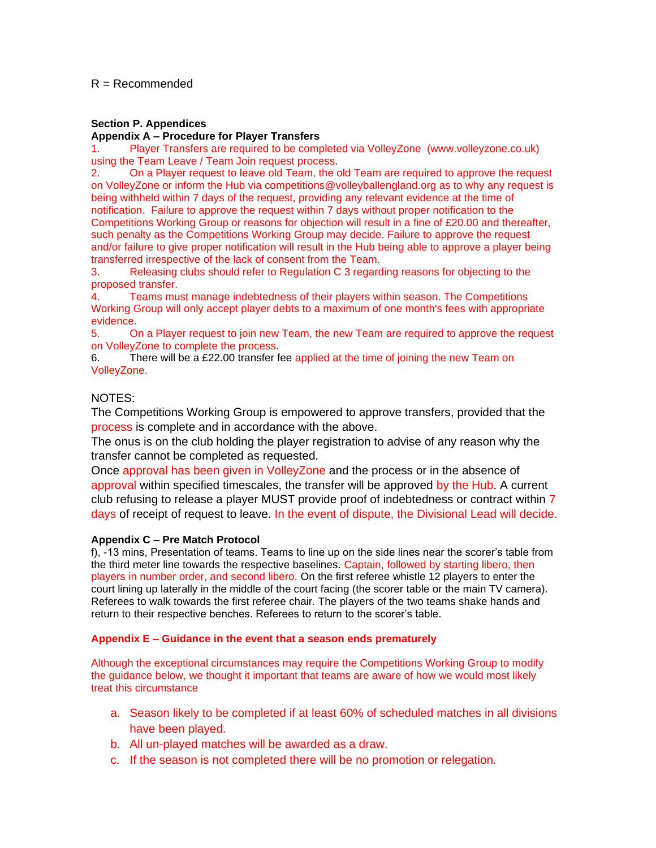# R = Recommended

# **Section P. Appendices**

#### **Appendix A – Procedure for Player Transfers**

1. Player Transfers are required to be completed via VolleyZone (www.volleyzone.co.uk) using the Team Leave / Team Join request process.

2. On a Player request to leave old Team, the old Team are required to approve the request on VolleyZone or inform the Hub via competitions@volleyballengland.org as to why any request is being withheld within 7 days of the request, providing any relevant evidence at the time of notification. Failure to approve the request within 7 days without proper notification to the Competitions Working Group or reasons for objection will result in a fine of £20.00 and thereafter, such penalty as the Competitions Working Group may decide. Failure to approve the request and/or failure to give proper notification will result in the Hub being able to approve a player being transferred irrespective of the lack of consent from the Team.

3. Releasing clubs should refer to Regulation C 3 regarding reasons for objecting to the proposed transfer.

4. Teams must manage indebtedness of their players within season. The Competitions Working Group will only accept player debts to a maximum of one month's fees with appropriate evidence.

5. On a Player request to join new Team, the new Team are required to approve the request on VolleyZone to complete the process.

6. There will be a £22.00 transfer fee applied at the time of joining the new Team on VolleyZone.

# NOTES:

The Competitions Working Group is empowered to approve transfers, provided that the process is complete and in accordance with the above.

The onus is on the club holding the player registration to advise of any reason why the transfer cannot be completed as requested.

Once approval has been given in VolleyZone and the process or in the absence of approval within specified timescales, the transfer will be approved by the Hub. A current club refusing to release a player MUST provide proof of indebtedness or contract within 7 days of receipt of request to leave. In the event of dispute, the Divisional Lead will decide.

#### **Appendix C – Pre Match Protocol**

f), -13 mins, Presentation of teams. Teams to line up on the side lines near the scorer's table from the third meter line towards the respective baselines. Captain, followed by starting libero, then players in number order, and second libero. On the first referee whistle 12 players to enter the court lining up laterally in the middle of the court facing (the scorer table or the main TV camera). Referees to walk towards the first referee chair. The players of the two teams shake hands and return to their respective benches. Referees to return to the scorer's table.

#### **Appendix E – Guidance in the event that a season ends prematurely**

Although the exceptional circumstances may require the Competitions Working Group to modify the guidance below, we thought it important that teams are aware of how we would most likely treat this circumstance

- a. Season likely to be completed if at least 60% of scheduled matches in all divisions have been played.
- b. All un-played matches will be awarded as a draw.
- c. If the season is not completed there will be no promotion or relegation.